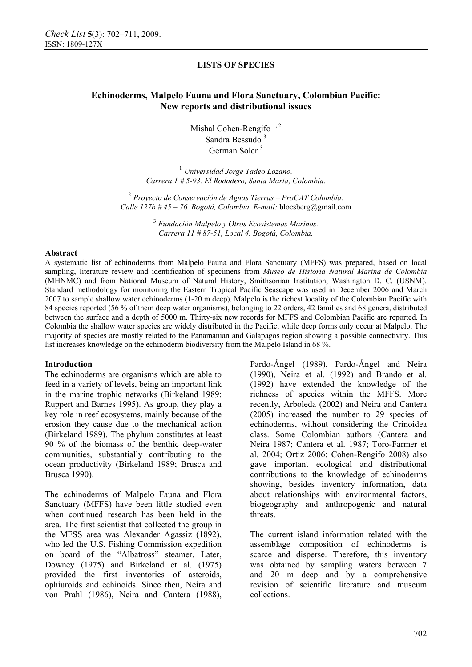# **Echinoderms, Malpelo Fauna and Flora Sanctuary, Colombian Pacific: New reports and distributional issues**

Mishal Cohen-Rengifo  $1, 2$ Sandra Bessudo<sup>3</sup> German Soler 3

<sup>1</sup> *Universidad Jorge Tadeo Lozano. Carrera 1 # 5-93. El Rodadero, Santa Marta, Colombia.* 

<sup>2</sup> *Proyecto de Conservación de Aguas Tierras – ProCAT Colombia. Calle 127b # 45 – 76. Bogotá, Colombia. E-mail:* blocsberg@gmail.com

> 3  *Fundación Malpelo y Otros Ecosistemas Marinos. Carrera 11 # 87-51, Local 4. Bogotá, Colombia.*

#### **Abstract**

A systematic list of echinoderms from Malpelo Fauna and Flora Sanctuary (MFFS) was prepared, based on local sampling, literature review and identification of specimens from *Museo de Historia Natural Marina de Colombia* (MHNMC) and from National Museum of Natural History, Smithsonian Institution, Washington D. C. (USNM). Standard methodology for monitoring the Eastern Tropical Pacific Seascape was used in December 2006 and March 2007 to sample shallow water echinoderms (1-20 m deep). Malpelo is the richest locality of the Colombian Pacific with 84 species reported (56 % of them deep water organisms), belonging to 22 orders, 42 families and 68 genera, distributed between the surface and a depth of 5000 m. Thirty-six new records for MFFS and Colombian Pacific are reported. In Colombia the shallow water species are widely distributed in the Pacific, while deep forms only occur at Malpelo. The majority of species are mostly related to the Panamanian and Galapagos region showing a possible connectivity. This list increases knowledge on the echinoderm biodiversity from the Malpelo Island in 68 %.

### **Introduction**

The echinoderms are organisms which are able to feed in a variety of levels, being an important link in the marine trophic networks (Birkeland 1989; Ruppert and Barnes 1995). As group, they play a key role in reef ecosystems, mainly because of the erosion they cause due to the mechanical action (Birkeland 1989). The phylum constitutes at least 90 % of the biomass of the benthic deep-water communities, substantially contributing to the ocean productivity (Birkeland 1989; Brusca and Brusca 1990).

The echinoderms of Malpelo Fauna and Flora Sanctuary (MFFS) have been little studied even when continued research has been held in the area. The first scientist that collected the group in the MFSS area was Alexander Agassiz (1892), who led the U.S. Fishing Commission expedition on board of the "Albatross" steamer. Later, Downey (1975) and Birkeland et al. (1975) provided the first inventories of asteroids, ophiuroids and echinoids. Since then, Neira and von Prahl (1986), Neira and Cantera (1988),

Pardo-Ángel (1989), Pardo-Ángel and Neira (1990), Neira et al. (1992) and Brando et al. (1992) have extended the knowledge of the richness of species within the MFFS. More recently, Arboleda (2002) and Neira and Cantera (2005) increased the number to 29 species of echinoderms, without considering the Crinoidea class. Some Colombian authors (Cantera and Neira 1987; Cantera et al. 1987; Toro-Farmer et al. 2004; Ortiz 2006; Cohen-Rengifo 2008) also gave important ecological and distributional contributions to the knowledge of echinoderms showing, besides inventory information, data about relationships with environmental factors, biogeography and anthropogenic and natural threats.

The current island information related with the assemblage composition of echinoderms is scarce and disperse. Therefore, this inventory was obtained by sampling waters between 7 and 20 m deep and by a comprehensive revision of scientific literature and museum collections.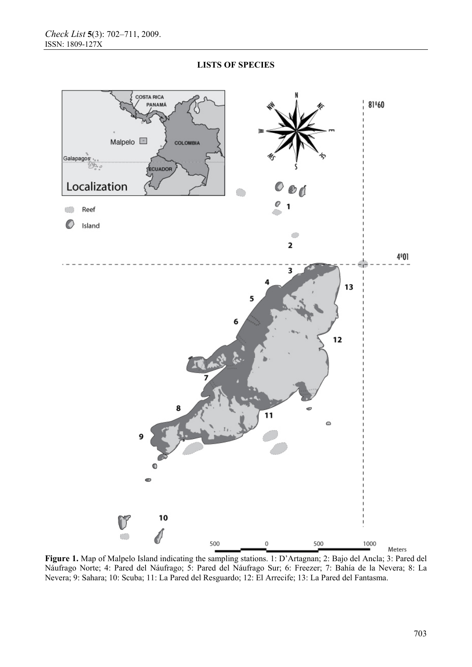

**Figure 1.** Map of Malpelo Island indicating the sampling stations. 1: D'Artagnan; 2: Bajo del Ancla; 3: Pared del Náufrago Norte; 4: Pared del Náufrago; 5: Pared del Náufrago Sur; 6: Freezer; 7: Bahía de la Nevera; 8: La Nevera; 9: Sahara; 10: Scuba; 11: La Pared del Resguardo; 12: El Arrecife; 13: La Pared del Fantasma.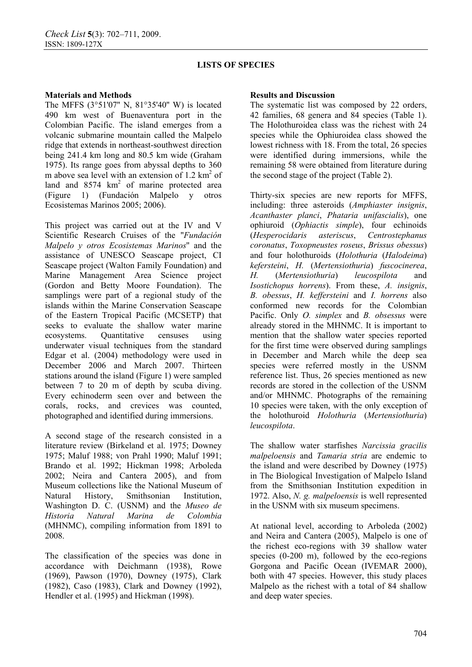## **Materials and Methods**

The MFFS (3°51'07'' N, 81°35'40'' W) is located 490 km west of Buenaventura port in the Colombian Pacific. The island emerges from a volcanic submarine mountain called the Malpelo ridge that extends in northeast-southwest direction being 241.4 km long and 80.5 km wide (Graham 1975). Its range goes from abyssal depths to 360 m above sea level with an extension of 1.2  $\text{km}^2$  of land and  $8574 \text{ km}^2$  of marine protected area (Figure 1) (Fundación Malpelo y otros Ecosistemas Marinos 2005; 2006).

This project was carried out at the IV and V Scientific Research Cruises of the ''*Fundación Malpelo y otros Ecosistemas Marinos*'' and the assistance of UNESCO Seascape project, CI Seascape project (Walton Family Foundation) and Marine Management Area Science project (Gordon and Betty Moore Foundation). The samplings were part of a regional study of the islands within the Marine Conservation Seascape of the Eastern Tropical Pacific (MCSETP) that seeks to evaluate the shallow water marine ecosystems. Quantitative censuses using underwater visual techniques from the standard Edgar et al. (2004) methodology were used in December 2006 and March 2007. Thirteen stations around the island (Figure 1) were sampled between 7 to 20 m of depth by scuba diving. Every echinoderm seen over and between the corals, rocks, and crevices was counted, photographed and identified during immersions.

A second stage of the research consisted in a literature review (Birkeland et al. 1975; Downey 1975; Maluf 1988; von Prahl 1990; Maluf 1991; Brando et al. 1992; Hickman 1998; Arboleda 2002; Neira and Cantera 2005), and from Museum collections like the National Museum of Natural History, Smithsonian Institution, Washington D. C. (USNM) and the *Museo de Historia Natural Marina de Colombia* (MHNMC), compiling information from 1891 to 2008.

The classification of the species was done in accordance with Deichmann (1938), Rowe (1969), Pawson (1970), Downey (1975), Clark (1982), Caso (1983), Clark and Downey (1992), Hendler et al. (1995) and Hickman (1998).

## **Results and Discussion**

The systematic list was composed by 22 orders, 42 families, 68 genera and 84 species (Table 1). The Holothuroidea class was the richest with 24 species while the Ophiuroidea class showed the lowest richness with 18. From the total, 26 species were identified during immersions, while the remaining 58 were obtained from literature during the second stage of the project (Table 2).

Thirty-six species are new reports for MFFS, including: three asteroids (*Amphiaster insignis*, *Acanthaster planci*, *Phataria unifascialis*), one ophiuroid (*Ophiactis simple*), four echinoids (*Hesperocidaris asteriscus*, *Centrostephanus coronatus*, *Toxopneustes roseus*, *Brissus obessus*) and four holothuroids (*Holothuria* (*Halodeima*) *kefersteini*, *H.* (*Mertensiothuria*) *fuscocinerea*, *H.* (*Mertensiothuria*) *leucospilota* and *Isostichopus horrens*). From these, *A. insignis*, *B. obessus*, *H. keffersteini* and *I. horrens* also conformed new records for the Colombian Pacific. Only *O. simplex* and *B. obsessus* were already stored in the MHNMC. It is important to mention that the shallow water species reported for the first time were observed during samplings in December and March while the deep sea species were referred mostly in the USNM reference list. Thus, 26 species mentioned as new records are stored in the collection of the USNM and/or MHNMC. Photographs of the remaining 10 species were taken, with the only exception of the holothuroid *Holothuria* (*Mertensiothuria*) *leucospilota*.

The shallow water starfishes *Narcissia gracilis malpeloensis* and *Tamaria stria* are endemic to the island and were described by Downey (1975) in The Biological Investigation of Malpelo Island from the Smithsonian Institution expedition in 1972. Also, *N. g. malpeloensis* is well represented in the USNM with six museum specimens.

At national level, according to Arboleda (2002) and Neira and Cantera (2005), Malpelo is one of the richest eco-regions with 39 shallow water species (0-200 m), followed by the eco-regions Gorgona and Pacific Ocean (IVEMAR 2000), both with 47 species. However, this study places Malpelo as the richest with a total of 84 shallow and deep water species.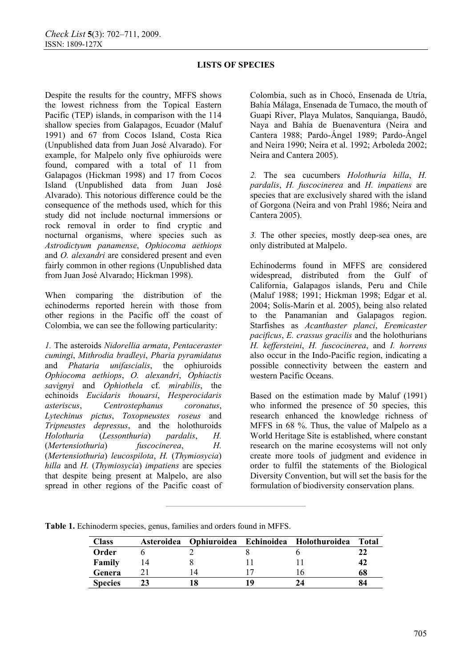Despite the results for the country, MFFS shows the lowest richness from the Topical Eastern Pacific (TEP) islands, in comparison with the 114 shallow species from Galapagos, Ecuador (Maluf 1991) and 67 from Cocos Island, Costa Rica (Unpublished data from Juan José Alvarado). For example, for Malpelo only five ophiuroids were found, compared with a total of 11 from Galapagos (Hickman 1998) and 17 from Cocos Island (Unpublished data from Juan José Alvarado). This notorious difference could be the consequence of the methods used, which for this study did not include nocturnal immersions or rock removal in order to find cryptic and nocturnal organisms, where species such as *Astrodictyum panamense*, *Ophiocoma aethiops*  and *O. alexandri* are considered present and even fairly common in other regions (Unpublished data from Juan José Alvarado; Hickman 1998).

When comparing the distribution of the echinoderms reported herein with those from other regions in the Pacific off the coast of Colombia, we can see the following particularity:

*1.* The asteroids *Nidorellia armata*, *Pentaceraster cumingi*, *Mithrodia bradleyi*, *Pharia pyramidatus*  and *Phataria unifascialis*, the ophiuroids *Ophiocoma aethiops*, *O. alexandri*, *Ophiactis savignyi* and *Ophiothela* cf. *mirabilis*, the echinoids *Eucidaris thouarsi*, *Hesperocidaris asteriscus*, *Centrostephanus coronatus*, *Lytechinus pictus*, *Toxopneustes roseus* and *Tripneustes depressus*, and the holothuroids *Holothuria* (*Lessonthuria*) *pardalis*, *H.*  (*Mertensiothuria*) *fuscocinerea*, *H.*  (*Mertensiothuria*) *leucospilota*, *H.* (*Thymiosycia*) *hilla* and *H.* (*Thymiosycia*) *impatiens* are species that despite being present at Malpelo, are also spread in other regions of the Pacific coast of Colombia, such as in Chocó, Ensenada de Utría, Bahía Málaga, Ensenada de Tumaco, the mouth of Guapi River, Playa Mulatos, Sanquianga, Baudó, Naya and Bahía de Buenaventura (Neira and Cantera 1988; Pardo-Ángel 1989; Pardo-Ángel and Neira 1990; Neira et al. 1992; Arboleda 2002; Neira and Cantera 2005).

*2.* The sea cucumbers *Holothuria hilla*, *H. pardalis*, *H. fuscocinerea* and *H. impatiens* are species that are exclusively shared with the island of Gorgona (Neira and von Prahl 1986; Neira and Cantera 2005).

*3.* The other species, mostly deep-sea ones, are only distributed at Malpelo.

Echinoderms found in MFFS are considered widespread, distributed from the Gulf of California, Galapagos islands, Peru and Chile (Maluf 1988; 1991; Hickman 1998; Edgar et al. 2004; Solís-Marín et al. 2005), being also related to the Panamanian and Galapagos region. Starfishes as *Acanthaster planci*, *Eremicaster pacificus*, *E. crassus gracilis* and the holothurians *H. keffersteini*, *H. fuscocinerea*, and *I. horrens*  also occur in the Indo-Pacific region, indicating a possible connectivity between the eastern and western Pacific Oceans.

Based on the estimation made by Maluf (1991) who informed the presence of 50 species, this research enhanced the knowledge richness of MFFS in 68 %. Thus, the value of Malpelo as a World Heritage Site is established, where constant research on the marine ecosystems will not only create more tools of judgment and evidence in order to fulfil the statements of the Biological Diversity Convention, but will set the basis for the formulation of biodiversity conservation plans.

**Table 1.** Echinoderm species, genus, families and orders found in MFFS.

| Class          | Asteroidea | Ophiuroidea | Echinoidea Holothuroidea | Total |
|----------------|------------|-------------|--------------------------|-------|
| Order          |            |             |                          |       |
| Family         |            |             |                          | 42    |
| Genera         |            |             |                          | 68    |
| <b>Species</b> |            |             |                          | 84    |

**————————————————**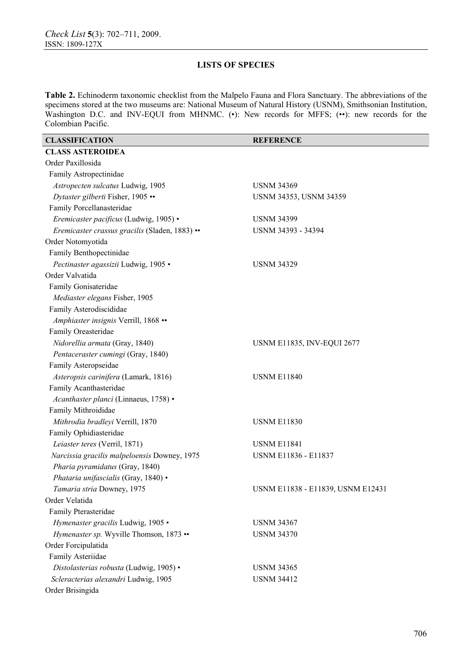**Table 2.** Echinoderm taxonomic checklist from the Malpelo Fauna and Flora Sanctuary. The abbreviations of the specimens stored at the two museums are: National Museum of Natural History (USNM), Smithsonian Institution, Washington D.C. and INV-EQUI from MHNMC. (.): New records for MFFS; (...): new records for the Colombian Pacific.

| <b>CLASSIFICATION</b>                          | <b>REFERENCE</b>                  |
|------------------------------------------------|-----------------------------------|
| <b>CLASS ASTEROIDEA</b>                        |                                   |
| Order Paxillosida                              |                                   |
| Family Astropectinidae                         |                                   |
| Astropecten sulcatus Ludwig, 1905              | <b>USNM 34369</b>                 |
| Dytaster gilberti Fisher, 1905 ••              | <b>USNM 34353, USNM 34359</b>     |
| Family Porcellanasteridae                      |                                   |
| Eremicaster pacificus (Ludwig, 1905) ·         | <b>USNM 34399</b>                 |
| Eremicaster crassus gracilis (Sladen, 1883) •• | USNM 34393 - 34394                |
| Order Notomyotida                              |                                   |
| Family Benthopectinidae                        |                                   |
| Pectinaster agassizii Ludwig, 1905 ·           | <b>USNM 34329</b>                 |
| Order Valvatida                                |                                   |
| Family Gonisateridae                           |                                   |
| Mediaster elegans Fisher, 1905                 |                                   |
| Family Asterodiscididae                        |                                   |
| Amphiaster insignis Verrill, 1868 ••           |                                   |
| Family Oreasteridae                            |                                   |
| Nidorellia armata (Gray, 1840)                 | <b>USNM E11835, INV-EQUI 2677</b> |
| Pentaceraster cumingi (Gray, 1840)             |                                   |
| Family Asteropseidae                           |                                   |
| Asteropsis carinifera (Lamark, 1816)           | <b>USNM E11840</b>                |
| Family Acanthasteridae                         |                                   |
| Acanthaster planci (Linnaeus, 1758) ·          |                                   |
| Family Mithroididae                            |                                   |
| Mithrodia bradleyi Verrill, 1870               | <b>USNM E11830</b>                |
| Family Ophidiasteridae                         |                                   |
| Leiaster teres (Verril, 1871)                  | <b>USNM E11841</b>                |
| Narcissia gracilis malpeloensis Downey, 1975   | USNM E11836 - E11837              |
| Pharia pyramidatus (Gray, 1840)                |                                   |
| Phataria unifascialis (Gray, 1840) ·           |                                   |
| Tamaria stria Downey, 1975                     | USNM E11838 - E11839, USNM E12431 |
| Order Velatida                                 |                                   |
| Family Pterasteridae                           |                                   |
| Hymenaster gracilis Ludwig, 1905 ·             | <b>USNM 34367</b>                 |
| Hymenaster sp. Wyville Thomson, 1873 ••        | <b>USNM 34370</b>                 |
| Order Forcipulatida                            |                                   |
| Family Asteriidae                              |                                   |
| Distolasterias robusta (Ludwig, 1905) ·        | <b>USNM 34365</b>                 |
| Scleracterias alexandri Ludwig, 1905           | <b>USNM 34412</b>                 |
| Order Brisingida                               |                                   |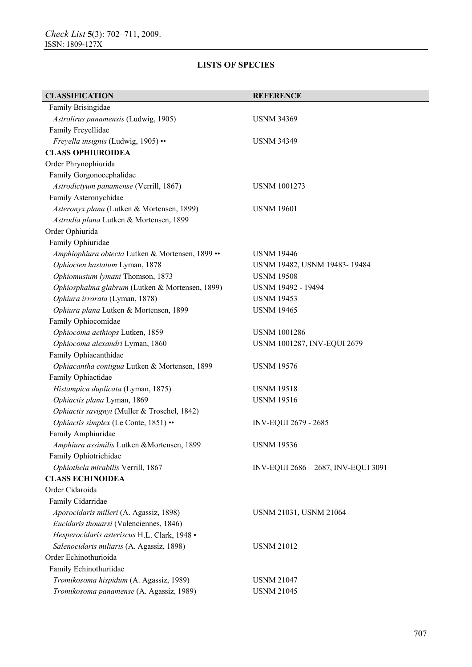| <b>CLASSIFICATION</b>                            | <b>REFERENCE</b>                    |
|--------------------------------------------------|-------------------------------------|
| Family Brisingidae                               |                                     |
| Astrolirus panamensis (Ludwig, 1905)             | <b>USNM 34369</b>                   |
| Family Freyellidae                               |                                     |
| Freyella insignis (Ludwig, 1905) ••              | <b>USNM 34349</b>                   |
| <b>CLASS OPHIUROIDEA</b>                         |                                     |
| Order Phrynophiurida                             |                                     |
| Family Gorgonocephalidae                         |                                     |
| Astrodictyum panamense (Verrill, 1867)           | <b>USNM 1001273</b>                 |
| Family Asteronychidae                            |                                     |
| Asteronyx plana (Lutken & Mortensen, 1899)       | <b>USNM 19601</b>                   |
| Astrodia plana Lutken & Mortensen, 1899          |                                     |
| Order Ophiurida                                  |                                     |
| Family Ophiuridae                                |                                     |
| Amphiophiura obtecta Lutken & Mortensen, 1899 •• | <b>USNM 19446</b>                   |
| Ophiocten hastatum Lyman, 1878                   | USNM 19482, USNM 19483-19484        |
| Ophiomusium lymani Thomson, 1873                 | <b>USNM 19508</b>                   |
| Ophiosphalma glabrum (Lutken & Mortensen, 1899)  | USNM 19492 - 19494                  |
| Ophiura irrorata (Lyman, 1878)                   | <b>USNM 19453</b>                   |
| Ophiura plana Lutken & Mortensen, 1899           | <b>USNM 19465</b>                   |
| Family Ophiocomidae                              |                                     |
| Ophiocoma aethiops Lutken, 1859                  | <b>USNM 1001286</b>                 |
| Ophiocoma alexandri Lyman, 1860                  | USNM 1001287, INV-EQUI 2679         |
| Family Ophiacanthidae                            |                                     |
| Ophiacantha contigua Lutken & Mortensen, 1899    | <b>USNM 19576</b>                   |
| Family Ophiactidae                               |                                     |
| Histampica duplicata (Lyman, 1875)               | <b>USNM 19518</b>                   |
| Ophiactis plana Lyman, 1869                      | <b>USNM 19516</b>                   |
| Ophiactis savignyi (Muller & Troschel, 1842)     |                                     |
| Ophiactis simplex (Le Conte, 1851) ••            | INV-EQUI 2679 - 2685                |
| Family Amphiuridae                               |                                     |
| Amphiura assimilis Lutken &Mortensen, 1899       | <b>USNM 19536</b>                   |
| Family Ophiotrichidae                            |                                     |
| Ophiothela mirabilis Verrill, 1867               | INV-EQUI 2686 - 2687, INV-EQUI 3091 |
| <b>CLASS ECHINOIDEA</b>                          |                                     |
| Order Cidaroida                                  |                                     |
| Family Cidarridae                                |                                     |
| Aporocidaris milleri (A. Agassiz, 1898)          | USNM 21031, USNM 21064              |
| Eucidaris thouarsi (Valenciennes, 1846)          |                                     |
| Hesperocidaris asteriscus H.L. Clark, 1948 ·     |                                     |
| Salenocidaris miliaris (A. Agassiz, 1898)        | <b>USNM 21012</b>                   |
| Order Echinothurioida                            |                                     |
| Family Echinothuriidae                           |                                     |
| Tromikosoma hispidum (A. Agassiz, 1989)          | <b>USNM 21047</b>                   |
| Tromikosoma panamense (A. Agassiz, 1989)         | <b>USNM 21045</b>                   |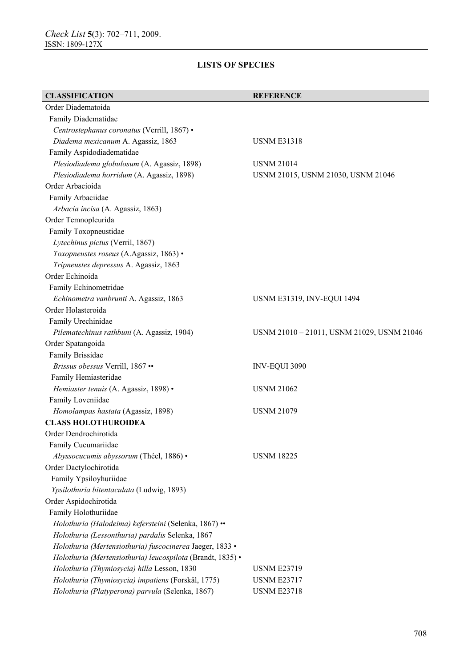| <b>CLASSIFICATION</b>                                      | <b>REFERENCE</b>                           |
|------------------------------------------------------------|--------------------------------------------|
| Order Diadematoida                                         |                                            |
| Family Diadematidae                                        |                                            |
| Centrostephanus coronatus (Verrill, 1867) ·                |                                            |
| Diadema mexicanum A. Agassiz, 1863                         | <b>USNM E31318</b>                         |
| Family Aspidodiadematidae                                  |                                            |
| Plesiodiadema globulosum (A. Agassiz, 1898)                | <b>USNM 21014</b>                          |
| Plesiodiadema horridum (A. Agassiz, 1898)                  | USNM 21015, USNM 21030, USNM 21046         |
| Order Arbacioida                                           |                                            |
| Family Arbaciidae                                          |                                            |
| Arbacia incisa (A. Agassiz, 1863)                          |                                            |
| Order Temnopleurida                                        |                                            |
| Family Toxopneustidae                                      |                                            |
| Lytechinus pictus (Verril, 1867)                           |                                            |
| Toxopneustes roseus (A.Agassiz, 1863) •                    |                                            |
| Tripneustes depressus A. Agassiz, 1863                     |                                            |
| Order Echinoida                                            |                                            |
| Family Echinometridae                                      |                                            |
| Echinometra vanbrunti A. Agassiz, 1863                     | <b>USNM E31319, INV-EQUI 1494</b>          |
| Order Holasteroida                                         |                                            |
| Family Urechinidae                                         |                                            |
| Pilematechinus rathbuni (A. Agassiz, 1904)                 | USNM 21010 - 21011, USNM 21029, USNM 21046 |
| Order Spatangoida                                          |                                            |
| Family Brissidae                                           |                                            |
| Brissus obessus Verrill, 1867 ••                           | INV-EQUI 3090                              |
| Family Hemiasteridae                                       |                                            |
| Hemiaster tenuis (A. Agassiz, 1898) •                      | <b>USNM 21062</b>                          |
| Family Loveniidae                                          |                                            |
| Homolampas hastata (Agassiz, 1898)                         | <b>USNM 21079</b>                          |
| <b>CLASS HOLOTHUROIDEA</b>                                 |                                            |
| Order Dendrochirotida                                      |                                            |
| Family Cucumariidae                                        |                                            |
| Abyssocucumis abyssorum (Théel, 1886) •                    | <b>USNM 18225</b>                          |
| Order Dactylochirotida                                     |                                            |
| Family Ypsiloyhuriidae                                     |                                            |
| Ypsilothuria bitentaculata (Ludwig, 1893)                  |                                            |
| Order Aspidochirotida                                      |                                            |
| Family Holothuriidae                                       |                                            |
| Holothuria (Halodeima) kefersteini (Selenka, 1867) ••      |                                            |
| Holothuria (Lessonthuria) pardalis Selenka, 1867           |                                            |
| Holothuria (Mertensiothuria) fuscocinerea Jaeger, 1833 ·   |                                            |
| Holothuria (Mertensiothuria) leucospilota (Brandt, 1835) • |                                            |
| Holothuria (Thymiosycia) hilla Lesson, 1830                | <b>USNM E23719</b>                         |
| Holothuria (Thymiosycia) impatiens (Forskäl, 1775)         | <b>USNM E23717</b>                         |
| Holothuria (Platyperona) parvula (Selenka, 1867)           | <b>USNM E23718</b>                         |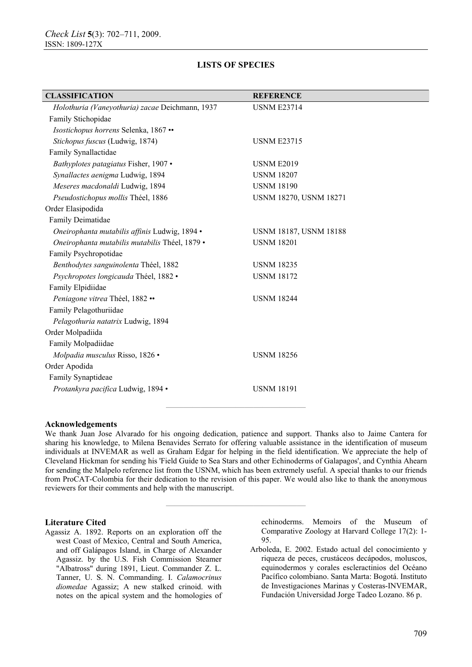| <b>CLASSIFICATION</b>                           | <b>REFERENCE</b>              |
|-------------------------------------------------|-------------------------------|
| Holothuria (Vaneyothuria) zacae Deichmann, 1937 | <b>USNM E23714</b>            |
| Family Stichopidae                              |                               |
| Isostichopus horrens Selenka, 1867 ••           |                               |
| Stichopus fuscus (Ludwig, 1874)                 | <b>USNM E23715</b>            |
| Family Synallactidae                            |                               |
| Bathyplotes patagiatus Fisher, 1907 •           | <b>USNM E2019</b>             |
| Synallactes aenigma Ludwig, 1894                | <b>USNM 18207</b>             |
| Meseres macdonaldi Ludwig, 1894                 | <b>USNM 18190</b>             |
| Pseudostichopus mollis Théel, 1886              | USNM 18270, USNM 18271        |
| Order Elasipodida                               |                               |
| Family Deimatidae                               |                               |
| Oneirophanta mutabilis affinis Ludwig, 1894 ·   | <b>USNM 18187, USNM 18188</b> |
| Oneirophanta mutabilis mutabilis Théel, 1879 ·  | <b>USNM 18201</b>             |
| Family Psychropotidae                           |                               |
| Benthodytes sanguinolenta Théel, 1882           | <b>USNM 18235</b>             |
| Psychropotes longicauda Théel, 1882 ·           | <b>USNM 18172</b>             |
| Family Elpidiidae                               |                               |
| Peniagone vitrea Théel, 1882 ••                 | <b>USNM 18244</b>             |
| Family Pelagothuriidae                          |                               |
| Pelagothuria natatrix Ludwig, 1894              |                               |
| Order Molpadiida                                |                               |
| Family Molpadiidae                              |                               |
| Molpadia musculus Risso, 1826 ·                 | <b>USNM 18256</b>             |
| Order Apodida                                   |                               |
| Family Synaptideae                              |                               |
| Protankyra pacifica Ludwig, 1894 ·              | <b>USNM 18191</b>             |
|                                                 |                               |
|                                                 |                               |

### **Acknowledgements**

We thank Juan Jose Alvarado for his ongoing dedication, patience and support. Thanks also to Jaime Cantera for sharing his knowledge, to Milena Benavides Serrato for offering valuable assistance in the identification of museum individuals at INVEMAR as well as Graham Edgar for helping in the field identification. We appreciate the help of Cleveland Hickman for sending his 'Field Guide to Sea Stars and other Echinoderms of Galapagos', and Cynthia Ahearn for sending the Malpelo reference list from the USNM, which has been extremely useful. A special thanks to our friends from ProCAT-Colombia for their dedication to the revision of this paper. We would also like to thank the anonymous reviewers for their comments and help with the manuscript.

**————————————————** 

### **Literature Cited**

Agassiz A. 1892. Reports on an exploration off the west Coast of Mexico, Central and South America, and off Galápagos Island, in Charge of Alexander Agassiz. by the U.S. Fish Commission Steamer "Albatross" during 1891, Lieut. Commander Z. L. Tanner, U. S. N. Commanding. I. *Calamocrinus diomedae* Agassiz; A new stalked crinoid. with notes on the apical system and the homologies of echinoderms. Memoirs of the Museum of Comparative Zoology at Harvard College 17(2): 1- 95.

Arboleda, E. 2002. Estado actual del conocimiento y riqueza de peces, crustáceos decápodos, moluscos, equinodermos y corales escleractinios del Océano Pacífico colombiano. Santa Marta: Bogotá. Instituto de Investigaciones Marinas y Costeras-INVEMAR, Fundación Universidad Jorge Tadeo Lozano. 86 p.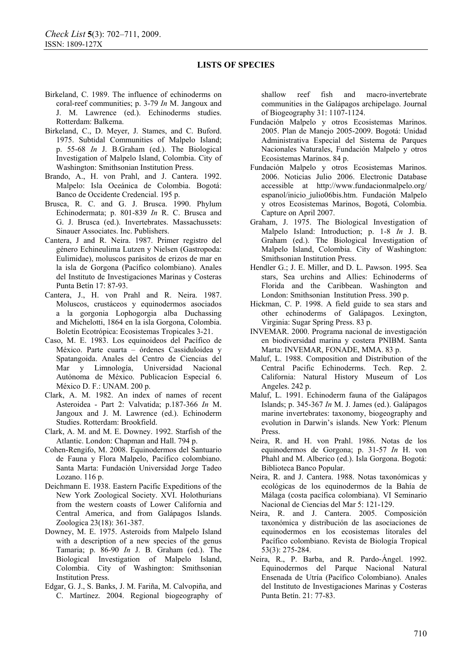- Birkeland, C. 1989. The influence of echinoderms on coral-reef communities; p. 3-79 *In* M. Jangoux and J. M. Lawrence (ed.). Echinoderms studies. Rotterdam: Balkema.
- Birkeland, C., D. Meyer, J. Stames, and C. Buford. 1975. Subtidal Communities of Malpelo Island; p. 55-68 *In* J. B.Graham (ed.). The Biological Investigation of Malpelo Island, Colombia. City of Washington: Smithsonian Institution Press.
- Brando, A., H. von Prahl, and J. Cantera. 1992. Malpelo: Isla Oceánica de Colombia. Bogotá: Banco de Occidente Credencial. 195 p.
- Brusca, R. C. and G. J. Brusca. 1990. Phylum Echinodermata; p. 801-839 *In* R. C. Brusca and G. J. Brusca (ed.). Invertebrates. Massachussets: Sinauer Associates. Inc. Publishers.
- Cantera, J and R. Neira. 1987. Primer registro del género Echineulima Lutzen y Nielsen (Gastropoda: Eulimidae), moluscos parásitos de erizos de mar en la isla de Gorgona (Pacífico colombiano). Anales del Instituto de Investigaciones Marinas y Costeras Punta Betín 17: 87-93.
- Cantera, J., H. von Prahl and R. Neira. 1987. Moluscos, crustáceos y equinodermos asociados a la gorgonia Lophogorgia alba Duchassing and Michelotti, 1864 en la isla Gorgona, Colombia. Boletín Ecotrópica: Ecosistemas Tropicales 3-21.
- Caso, M. E. 1983. Los equinoideos del Pacífico de México. Parte cuarta – órdenes Cassiduloidea y Spatangoida. Anales del Centro de Ciencias del Mar y Limnología, Universidad Nacional Autónoma de México. Publicacíon Especial 6. México D. F.: UNAM. 200 p.
- Clark, A. M. 1982. An index of names of recent Asteroidea - Part 2: Valvatida; p.187-366 *In* M. Jangoux and J. M. Lawrence (ed.). Echinoderm Studies. Rotterdam: Brookfield.
- Clark, A. M. and M. E. Downey. 1992. Starfish of the Atlantic. London: Chapman and Hall. 794 p.
- Cohen-Rengifo, M. 2008. Equinodermos del Santuario de Fauna y Flora Malpelo, Pacífico colombiano. Santa Marta: Fundación Universidad Jorge Tadeo Lozano. 116 p.
- Deichmann E. 1938. Eastern Pacific Expeditions of the New York Zoological Society. XVI. Holothurians from the western coasts of Lower California and Central America, and from Galápagos Islands. Zoologica 23(18): 361-387.
- Downey, M. E. 1975. Asteroids from Malpelo Island with a description of a new species of the genus Tamaria; p. 86-90 *In* J. B. Graham (ed.). The Biological Investigation of Malpelo Island, Colombia. City of Washington: Smithsonian Institution Press.
- Edgar, G. J., S. Banks, J. M. Fariña, M. Calvopiña, and C. Martínez. 2004. Regional biogeography of

shallow reef fish and macro-invertebrate communities in the Galápagos archipelago. Journal of Biogeography 31: 1107-1124.

- Fundación Malpelo y otros Ecosistemas Marinos. 2005. Plan de Manejo 2005-2009. Bogotá: Unidad Administrativa Especial del Sistema de Parques Nacionales Naturales, Fundación Malpelo y otros Ecosistemas Marinos. 84 p.
- Fundación Malpelo y otros Ecosistemas Marinos. 2006. Noticias Julio 2006. Electronic Database accessible at http://www.fundacionmalpelo.org/ espanol/inicio\_julio06bis.htm. Fundación Malpelo y otros Ecosistemas Marinos, Bogotá, Colombia. Capture on April 2007.
- Graham, J. 1975. The Biological Investigation of Malpelo Island: Introduction; p. 1-8 *In* J. B. Graham (ed.). The Biological Investigation of Malpelo Island, Colombia. City of Washington: Smithsonian Institution Press.
- Hendler G.; J. E. Miller, and D. L. Pawson. 1995. Sea stars, Sea urchins and Allies: Echinoderms of Florida and the Caribbean. Washington and London: Smithsonian Institution Press. 390 p.
- Hickman, C. P. 1998. A field guide to sea stars and other echinoderms of Galápagos. Lexington, Virginia: Sugar Spring Press. 83 p.
- INVEMAR. 2000. Programa nacional de investigación en biodiversidad marina y costera PNIBM. Santa Marta: INVEMAR, FONADE, MMA. 83 p.
- Maluf, L. 1988. Composition and Distribution of the Central Pacific Echinoderms. Tech. Rep. 2. California: Natural History Museum of Los Angeles. 242 p.
- Maluf, L. 1991. Echinoderm fauna of the Galápagos Islands; p. 345-367 *In* M. J. James (ed.). Galápagos marine invertebrates: taxonomy, biogeography and evolution in Darwin's islands. New York: Plenum Press.
- Neira, R. and H. von Prahl. 1986. Notas de los equinodermos de Gorgona; p. 31-57 *In* H. von Phahl and M. Alberico (ed.). Isla Gorgona. Bogotá: Biblioteca Banco Popular.
- Neira, R. and J. Cantera. 1988. Notas taxonómicas y ecológicas de los equinodermos de la Bahía de Málaga (costa pacífica colombiana). VI Seminario Nacional de Ciencias del Mar 5: 121-129.
- Neira, R. and J. Cantera. 2005. Composición taxonómica y distribución de las asociaciones de equinodermos en los ecosistemas litorales del Pacífico colombiano. Revista de Biología Tropical 53(3): 275-284.
- Neira, R., P. Barba, and R. Pardo-Ángel. 1992. Equinodermos del Parque Nacional Natural Ensenada de Utría (Pacífico Colombiano). Anales del Instituto de Investigaciones Marinas y Costeras Punta Betín. 21: 77-83.